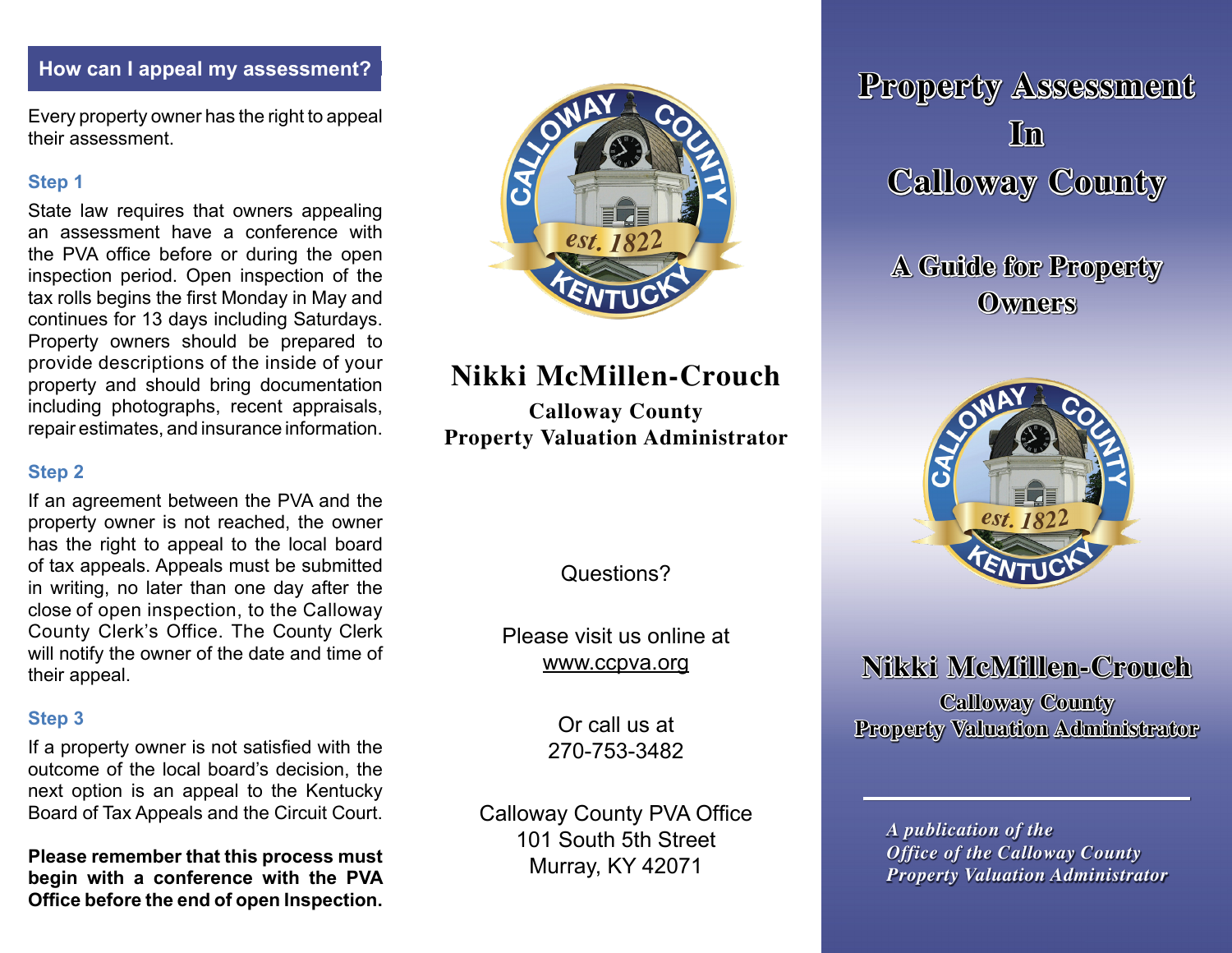Every property owner has the right to appeal their assessment.

#### **Step 1**

State law requires that owners appealing an assessment have a conference with the PVA office before or during the open inspection period. Open inspection of the tax rolls begins the first Monday in May and continues for 13 days including Saturdays. Property owners should be prepared to provide descriptions of the inside of your property and should bring documentation including photographs, recent appraisals, repair estimates, and insurance information.

## **Step 2**

If an agreement between the PVA and the property owner is not reached, the owner has the right to appeal to the local board of tax appeals. Appeals must be submitted in writing, no later than one day after the close of open inspection, to the Calloway County Clerk's Office. The County Clerk will notify the owner of the date and time of their appeal.

# **Step 3**

If a property owner is not satisfied with the outcome of the local board's decision, the next option is an appeal to the Kentucky Board of Tax Appeals and the Circuit Court.

**Please remember that this process must begin with a conference with the PVA Office before the end of open Inspection.**



# **Nikki McMillen-Crouch**

**Calloway County Property Valuation Administrator**

Questions?

Please visit us online at www.ccpva.org

> Or call us at 270-753-3482

Calloway County PVA Office 101 South 5th Street Murray, KY 42071

**How can I appeal my assessment? Contained Assessment? Property Assessment In Calloway County**

> **A Guide for Property Owners**



# **Nikki McMillen-Crouch**

**Calloway County Property Valuation Administrator**

*A publication of the Office of the Calloway County Property Valuation Administrator*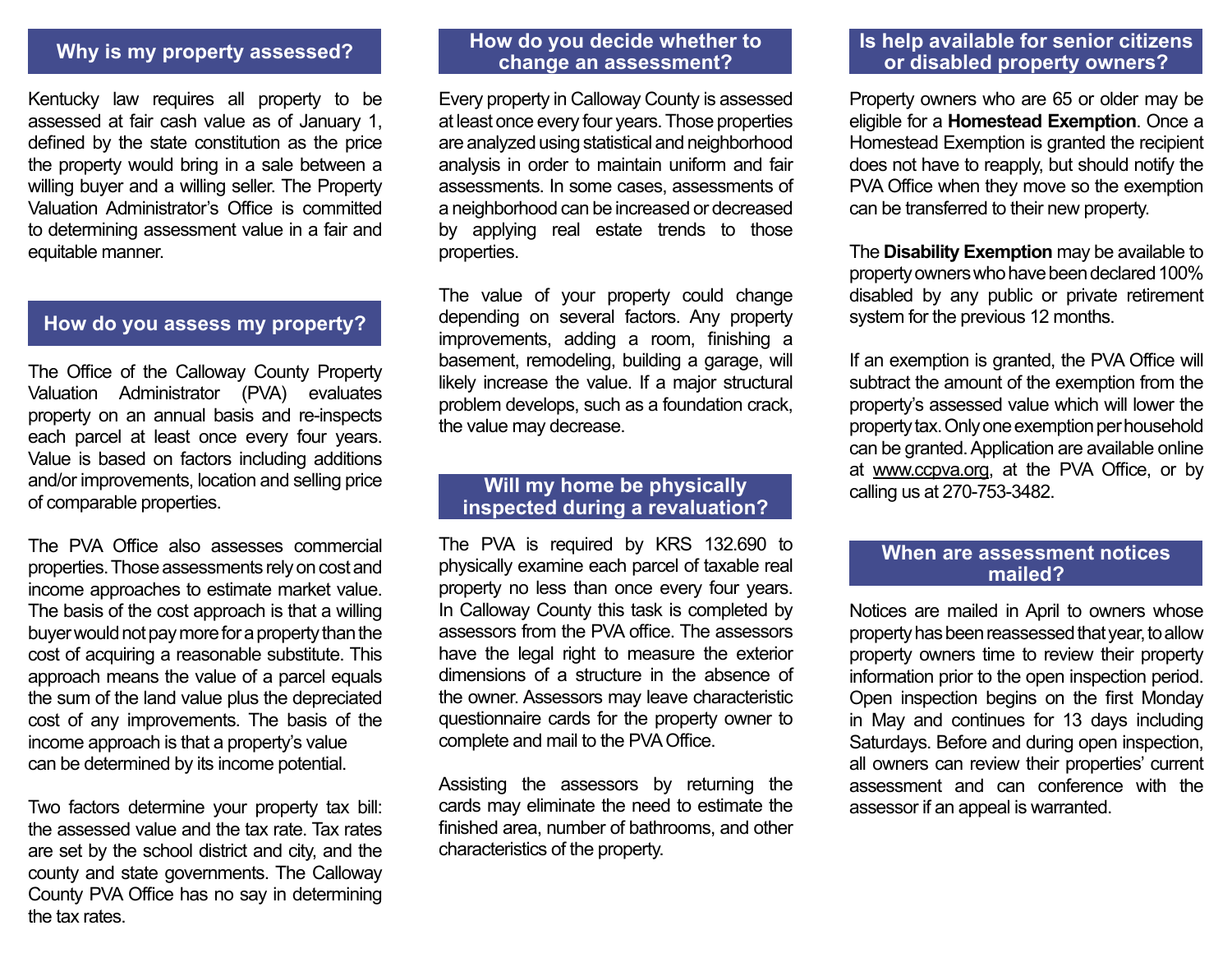# **Why is my property assessed?**

Kentucky law requires all property to be assessed at fair cash value as of January 1, defined by the state constitution as the price the property would bring in a sale between a willing buyer and a willing seller. The Property Valuation Administrator's Office is committed to determining assessment value in a fair and equitable manner.

# **How do you assess my property?**

The Office of the Calloway County Property Valuation Administrator (PVA) evaluates property on an annual basis and re-inspects each parcel at least once every four years. Value is based on factors including additions and/or improvements, location and selling price of comparable properties.

The PVA Office also assesses commercial properties. Those assessments rely on cost and income approaches to estimate market value. The basis of the cost approach is that a willing buyer would not pay more for a property than the cost of acquiring a reasonable substitute. This approach means the value of a parcel equals the sum of the land value plus the depreciated cost of any improvements. The basis of the income approach is that a property's value can be determined by its income potential.

Two factors determine your property tax bill: the assessed value and the tax rate. Tax rates are set by the school district and city, and the county and state governments. The Calloway County PVA Office has no say in determining the tax rates.

## **How do you decide whether to change an assessment?**

Every property in Calloway County is assessed at least once every four years. Those properties are analyzed using statistical and neighborhood analysis in order to maintain uniform and fair assessments. In some cases, assessments of a neighborhood can be increased or decreased by applying real estate trends to those properties.

The value of your property could change depending on several factors. Any property improvements, adding a room, finishing a basement, remodeling, building a garage, will likely increase the value. If a major structural problem develops, such as a foundation crack, the value may decrease.

## **Will my home be physically inspected during a revaluation?**

The PVA is required by KRS 132.690 to physically examine each parcel of taxable real property no less than once every four years. In Calloway County this task is completed by assessors from the PVA office. The assessors have the legal right to measure the exterior dimensions of a structure in the absence of the owner. Assessors may leave characteristic questionnaire cards for the property owner to complete and mail to the PVA Office.

Assisting the assessors by returning the cards may eliminate the need to estimate the finished area, number of bathrooms, and other characteristics of the property.

# **Is help available for senior citizens or disabled property owners?**

Property owners who are 65 or older may be eligible for a **Homestead Exemption**. Once a Homestead Exemption is granted the recipient does not have to reapply, but should notify the PVA Office when they move so the exemption can be transferred to their new property.

The **Disability Exemption** may be available to property owners who have been declared 100% disabled by any public or private retirement system for the previous 12 months.

If an exemption is granted, the PVA Office will subtract the amount of the exemption from the property's assessed value which will lower the property tax. Only one exemption per household can be granted. Application are available online at www.ccpva.org, at the PVA Office, or by calling us at 270-753-3482.

#### **When are assessment notices mailed?**

Notices are mailed in April to owners whose property has been reassessed that year, to allow property owners time to review their property information prior to the open inspection period. Open inspection begins on the first Monday in May and continues for 13 days including Saturdays. Before and during open inspection, all owners can review their properties' current assessment and can conference with the assessor if an appeal is warranted.